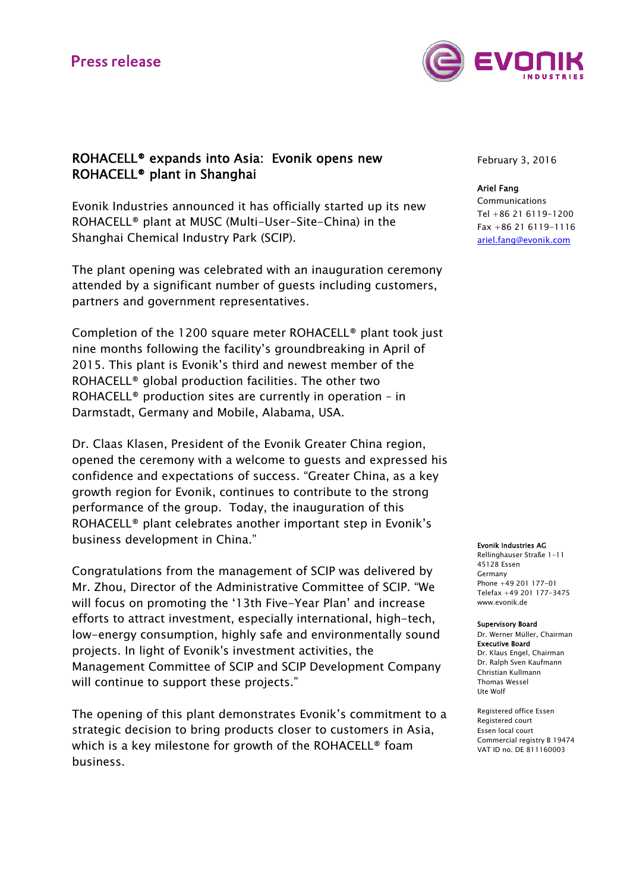# **Press release**



## ROHACELL® expands into Asia: Evonik opens new ROHACELL® plant in Shanghai

Evonik Industries announced it has officially started up its new ROHACELL® plant at MUSC (Multi-User-Site-China) in the Shanghai Chemical Industry Park (SCIP).

The plant opening was celebrated with an inauguration ceremony attended by a significant number of guests including customers, partners and government representatives.

Completion of the 1200 square meter ROHACELL® plant took just nine months following the facility's groundbreaking in April of 2015. This plant is Evonik's third and newest member of the ROHACELL® global production facilities. The other two ROHACELL® production sites are currently in operation – in Darmstadt, Germany and Mobile, Alabama, USA.

Dr. Claas Klasen, President of the Evonik Greater China region, opened the ceremony with a welcome to guests and expressed his confidence and expectations of success. "Greater China, as a key growth region for Evonik, continues to contribute to the strong performance of the group. Today, the inauguration of this ROHACELL® plant celebrates another important step in Evonik's business development in China."

Congratulations from the management of SCIP was delivered by Mr. Zhou, Director of the Administrative Committee of SCIP. "We will focus on promoting the '13th Five-Year Plan' and increase efforts to attract investment, especially international, high-tech, low-energy consumption, highly safe and environmentally sound projects. In light of Evonik's investment activities, the Management Committee of SCIP and SCIP Development Company will continue to support these projects."

The opening of this plant demonstrates Evonik's commitment to a strategic decision to bring products closer to customers in Asia, which is a key milestone for growth of the ROHACELL® foam business.

February 3, 2016

### Ariel Fang

Communications Tel +86 21 6119-1200 Fax +86 21 6119-1116 ariel.fang@evonik.com

#### Evonik Industries AG

Rellinghauser Straße 1-11 45128 Essen Germany Phone +49 201 177-01 Telefax +49 201 177-3475 www.evonik.de

#### Supervisory Board

Dr. Werner Müller, Chairman Executive Board Dr. Klaus Engel, Chairman Dr. Ralph Sven Kaufmann Christian Kullmann Thomas Wessel Ute Wolf

Registered office Essen Registered court Essen local court Commercial registry B 19474 VAT ID no. DE 811160003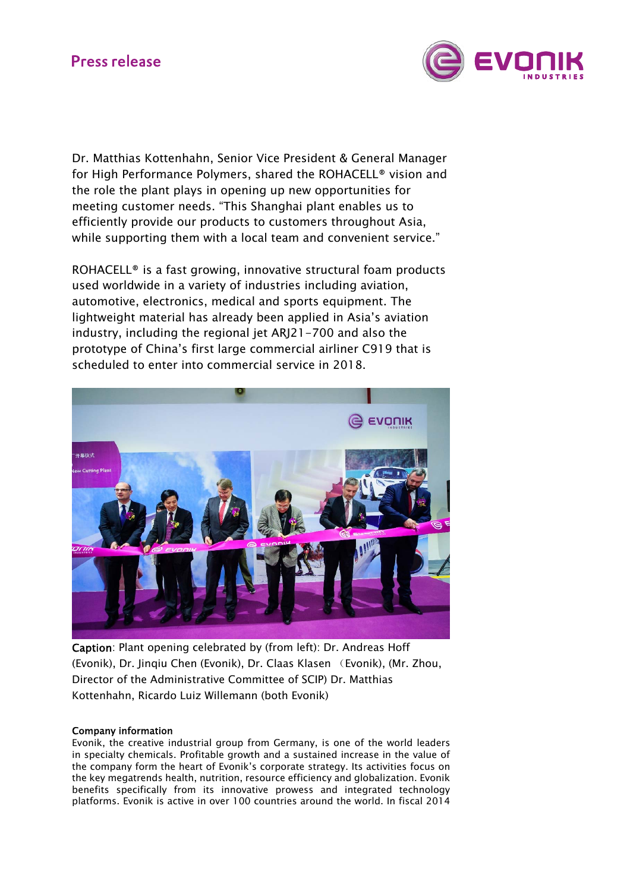# **Press release**



Dr. Matthias Kottenhahn, Senior Vice President & General Manager for High Performance Polymers, shared the ROHACELL® vision and the role the plant plays in opening up new opportunities for meeting customer needs. "This Shanghai plant enables us to efficiently provide our products to customers throughout Asia, while supporting them with a local team and convenient service."

ROHACELL® is a fast growing, innovative structural foam products used worldwide in a variety of industries including aviation, automotive, electronics, medical and sports equipment. The lightweight material has already been applied in Asia's aviation industry, including the regional jet ARJ21-700 and also the prototype of China's first large commercial airliner C919 that is scheduled to enter into commercial service in 2018.



Caption: Plant opening celebrated by (from left): Dr. Andreas Hoff (Evonik), Dr. Jinqiu Chen (Evonik), Dr. Claas Klasen (Evonik), (Mr. Zhou, Director of the Administrative Committee of SCIP) Dr. Matthias Kottenhahn, Ricardo Luiz Willemann (both Evonik)

## Company information

Evonik, the creative industrial group from Germany, is one of the world leaders in specialty chemicals. Profitable growth and a sustained increase in the value of the company form the heart of Evonik's corporate strategy. Its activities focus on the key megatrends health, nutrition, resource efficiency and globalization. Evonik benefits specifically from its innovative prowess and integrated technology platforms. Evonik is active in over 100 countries around the world. In fiscal 2014